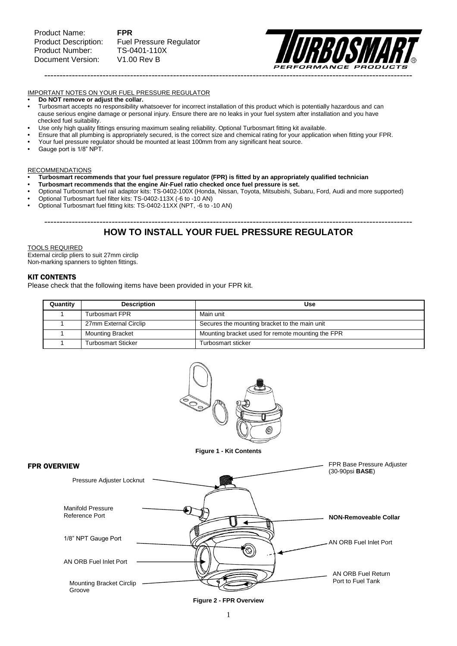**Fuel Pressure Regulator** 



#### IMPORTANT NOTES ON YOUR FUEL PRESSURE REGULATOR

- **• Do NOT remove or adjust the collar.**
- Turbosmart accepts no responsibility whatsoever for incorrect installation of this product which is potentially hazardous and can cause serious engine damage or personal injury. Ensure there are no leaks in your fuel system after installation and you have checked fuel suitability.
- **•** Use only high quality fittings ensuring maximum sealing reliability. Optional Turbosmart fitting kit available.
- **•** Ensure that all plumbing is appropriately secured, is the correct size and chemical rating for your application when fitting your FPR.
- **•** Your fuel pressure regulator should be mounted at least 100mm from any significant heat source.
- **•** Gauge port is 1/8" NPT.

#### RECOMMENDATIONS

- **• Turbosmart recommends that your fuel pressure regulator (FPR) is fitted by an appropriately qualified technician**
- **Turbosmart recommends that the engine Air-Fuel ratio checked once fuel pressure is set.**
- **•** Optional Turbosmart fuel rail adaptor kits: TS-0402-100X (Honda, Nissan, Toyota, Mitsubishi, Subaru, Ford, Audi and more supported)
- **•** Optional Turbosmart fuel filter kits: TS-0402-113X (-6 to -10 AN)
- **•** Optional Turbosmart fuel fitting kits: TS-0402-11XX (NPT, -6 to -10 AN)

## ------------------------------------------------------------------------------------------------------------------------ **HOW TO INSTALL YOUR FUEL PRESSURE REGULATOR**

#### TOOLS REQUIRED

External circlip pliers to suit 27mm circlip Non-marking spanners to tighten fittings.

#### KIT CONTENTS

Please check that the following items have been provided in your FPR kit.

| Quantity | <b>Description</b>        | Use                                               |  |  |
|----------|---------------------------|---------------------------------------------------|--|--|
|          | Turbosmart FPR            | Main unit                                         |  |  |
|          | 27mm External Circlip     | Secures the mounting bracket to the main unit     |  |  |
|          | <b>Mounting Bracket</b>   | Mounting bracket used for remote mounting the FPR |  |  |
|          | <b>Turbosmart Sticker</b> | Turbosmart sticker                                |  |  |



**Figure 1 - Kit Contents**



#### **Figure 2 - FPR Overview**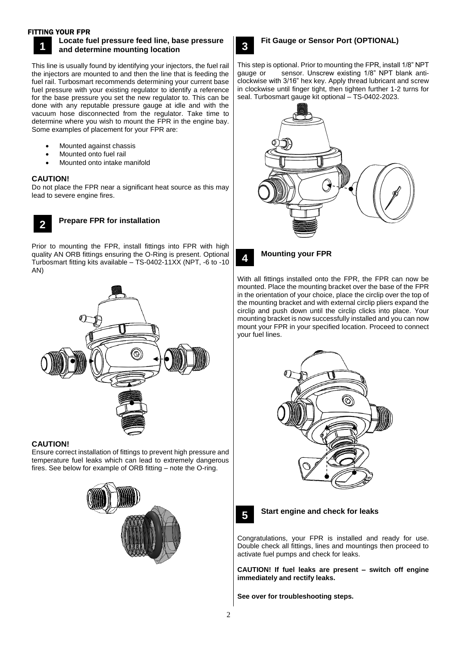### FITTING YOUR FPR



### **Locate fuel pressure feed line, base pressure and determine mounting location**

This line is usually found by identifying your injectors, the fuel rail the injectors are mounted to and then the line that is feeding the fuel rail. Turbosmart recommends determining your current base fuel pressure with your existing regulator to identify a reference for the base pressure you set the new regulator to. This can be done with any reputable pressure gauge at idle and with the vacuum hose disconnected from the regulator. Take time to determine where you wish to mount the FPR in the engine bay. Some examples of placement for your FPR are:

- Mounted against chassis
- Mounted onto fuel rail
- Mounted onto intake manifold

## **CAUTION!**

Do not place the FPR near a significant heat source as this may lead to severe engine fires.



## **Prepare FPR for installation**

Prior to mounting the FPR, install fittings into FPR with high quality AN ORB fittings ensuring the O-Ring is present. Optional Turbosmart fitting kits available – TS-0402-11XX (NPT, -6 to -10 AN)



### **CAUTION!**

Ensure correct installation of fittings to prevent high pressure and temperature fuel leaks which can lead to extremely dangerous fires. See below for example of ORB fitting – note the O-ring.





This step is optional. Prior to mounting the FPR, install 1/8" NPT gauge or sensor. Unscrew existing 1/8" NPT blank anticlockwise with 3/16" hex key. Apply thread lubricant and screw in clockwise until finger tight, then tighten further 1-2 turns for seal. Turbosmart gauge kit optional – TS-0402-2023.





**4** 

## **Mounting your FPR**

With all fittings installed onto the FPR, the FPR can now be mounted. Place the mounting bracket over the base of the FPR in the orientation of your choice, place the circlip over the top of the mounting bracket and with external circlip pliers expand the circlip and push down until the circlip clicks into place. Your mounting bracket is now successfully installed and you can now mount your FPR in your specified location. Proceed to connect your fuel lines.





### **Start engine and check for leaks**

Congratulations, your FPR is installed and ready for use. Double check all fittings, lines and mountings then proceed to activate fuel pumps and check for leaks.

**CAUTION! If fuel leaks are present – switch off engine immediately and rectify leaks.**

**See over for troubleshooting steps.**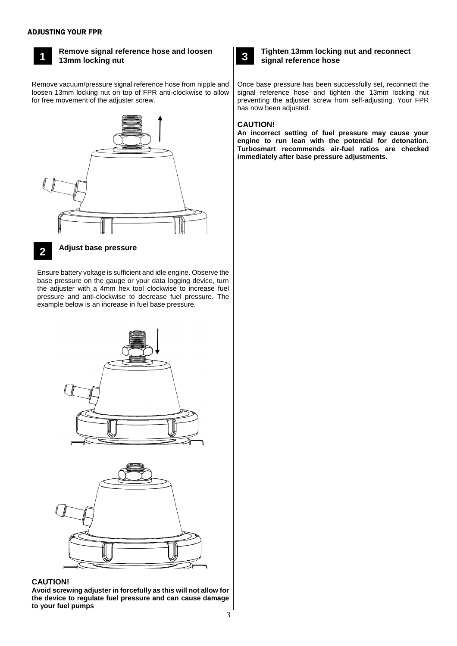#### ADJUSTING YOUR FPR



## **Remove signal reference hose and loosen 13mm locking nut**

Remove vacuum/pressure signal reference hose from nipple and loosen 13mm locking nut on top of FPR anti-clockwise to allow for free movement of the adjuster screw.





## **Adjust base pressure**

Ensure battery voltage is sufficient and idle engine. Observe the base pressure on the gauge or your data logging device, turn the adjuster with a 4mm hex tool clockwise to increase fuel pressure and anti-clockwise to decrease fuel pressure. The example below is an increase in fuel base pressure. **3**



#### **CAUTION!**

**Avoid screwing adjuster in forcefully as this will not allow for the device to regulate fuel pressure and can cause damage to your fuel pumps**



### **Tighten 13mm locking nut and reconnect signal reference hose**

Once base pressure has been successfully set, reconnect the signal reference hose and tighten the 13mm locking nut preventing the adjuster screw from self-adjusting. Your FPR has now been adjusted.

### **CAUTION!**

**An incorrect setting of fuel pressure may cause your engine to run lean with the potential for detonation. Turbosmart recommends air-fuel ratios are checked immediately after base pressure adjustments.**